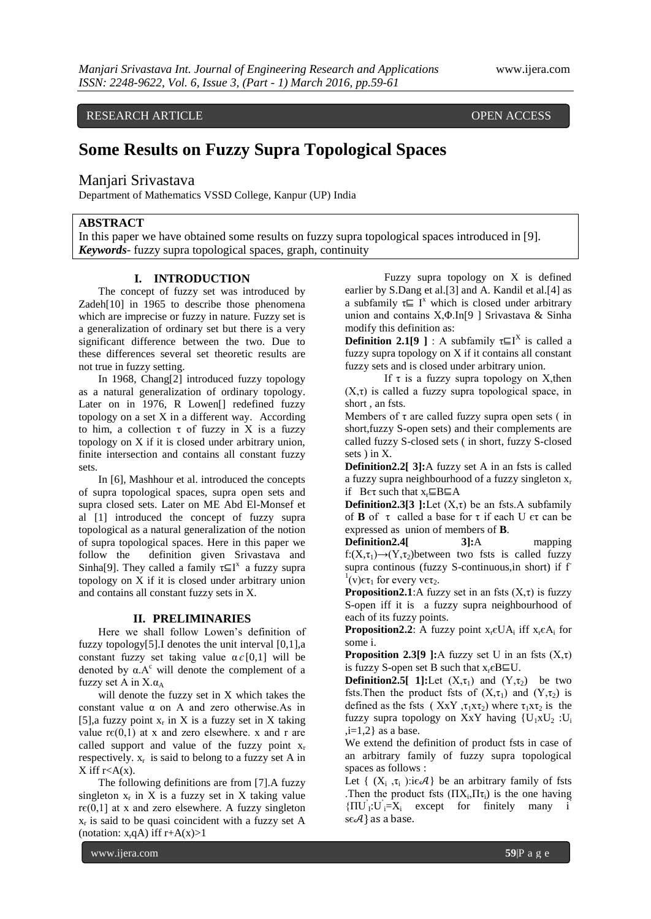RESEARCH ARTICLE **CONSERVERS** OPEN ACCESS

# **Some Results on Fuzzy Supra Topological Spaces**

Manjari Srivastava

Department of Mathematics VSSD College, Kanpur (UP) India

# **ABSTRACT**

In this paper we have obtained some results on fuzzy supra topological spaces introduced in [9]. *Keywords-* fuzzy supra topological spaces, graph, continuity

## **I. INTRODUCTION**

The concept of fuzzy set was introduced by Zadeh[10] in 1965 to describe those phenomena which are imprecise or fuzzy in nature. Fuzzy set is a generalization of ordinary set but there is a very significant difference between the two. Due to these differences several set theoretic results are not true in fuzzy setting.

In 1968, Chang[2] introduced fuzzy topology as a natural generalization of ordinary topology. Later on in 1976. R Lowen<sup>[]</sup> redefined fuzzy topology on a set X in a different way. According to him, a collection  $\tau$  of fuzzy in X is a fuzzy topology on X if it is closed under arbitrary union, finite intersection and contains all constant fuzzy sets.

In [6], Mashhour et al. introduced the concepts of supra topological spaces, supra open sets and supra closed sets. Later on ME Abd El-Monsef et al [1] introduced the concept of fuzzy supra topological as a natural generalization of the notion of supra topological spaces. Here in this paper we follow the definition given Srivastava and Sinha[9]. They called a family  $\tau \subseteq I^x$  a fuzzy supra topology on X if it is closed under arbitrary union and contains all constant fuzzy sets in X.

#### **II. PRELIMINARIES**

Here we shall follow Lowen's definition of fuzzy topology[5].I denotes the unit interval [0,1],a constant fuzzy set taking value  $\alpha \in [0,1]$  will be denoted by  $\alpha A^c$  will denote the complement of a fuzzy set A in  $X.\alpha_A$ 

will denote the fuzzy set in X which takes the constant value  $\alpha$  on A and zero otherwise. As in [5],a fuzzy point  $x_r$  in X is a fuzzy set in X taking value  $r\epsilon(0,1)$  at x and zero elsewhere. x and r are called support and value of the fuzzy point  $x_r$ respectively.  $x_r$  is said to belong to a fuzzy set A in  $X$  iff  $r < A(x)$ .

The following definitions are from [7].A fuzzy singleton  $x_r$  in X is a fuzzy set in X taking value  $r\epsilon(0,1)$  at x and zero elsewhere. A fuzzy singleton  $x_r$  is said to be quasi coincident with a fuzzy set A (notation:  $x_r qA$ ) iff  $r+A(x)>1$ 

Fuzzy supra topology on X is defined earlier by S.Dang et al.[3] and A. Kandil et al.[4] as a subfamily  $\tau \subseteq I^x$  which is closed under arbitrary union and contains X,Φ.In[9 ] Srivastava & Sinha modify this definition as:

**Definition 2.1[9** ] : A subfamily  $\tau \sqsubseteq I^X$  is called a fuzzy supra topology on X if it contains all constant fuzzy sets and is closed under arbitrary union.

If  $\tau$  is a fuzzy supra topology on X, then  $(X, \tau)$  is called a fuzzy supra topological space, in short , an fsts.

Members of  $\tau$  are called fuzzy supra open sets (in short,fuzzy S-open sets) and their complements are called fuzzy S-closed sets ( in short, fuzzy S-closed sets ) in X.

**Definition2.2** [3]: A fuzzy set A in an fsts is called a fuzzy supra neighbourhood of a fuzzy singleton  $x_r$ if B $\epsilon \tau$  such that  $x_r \sqsubseteq B \sqsubseteq A$ 

**Definition2.3[3 ]:**Let  $(X,\tau)$  be an fsts.A subfamily of **B** of  $\tau$  called a base for  $\tau$  if each U  $\epsilon \tau$  can be expressed as union of members of **B**.

**Definition2.4[ 3]:**A mapping f: $(X,\tau_1) \rightarrow (Y,\tau_2)$ between two fsts is called fuzzy supra continous (fuzzy S-continuous, in short) if f <sup>1</sup>(v)ετ<sub>1</sub> for every vετ<sub>2</sub>.

**Proposition2.1**:A fuzzy set in an fsts  $(X, \tau)$  is fuzzy S-open iff it is a fuzzy supra neighbourhood of each of its fuzzy points.

**Proposition2.2**: A fuzzy point  $x_r \in UA_i$  iff  $x_r \in A_i$  for some i.

**Proposition 2.3[9 ]:**A fuzzy set U in an fsts  $(X,\tau)$ is fuzzy S-open set B such that  $x_r \in B \sqsubseteq U$ .

**Definition2.5[ 1]:**Let  $(X, \tau_1)$  and  $(Y, \tau_2)$  be two fsts. Then the product fsts of  $(X, \tau_1)$  and  $(Y, \tau_2)$  is defined as the fsts ( $XXY, \tau_1X\tau_2$ ) where  $\tau_1X\tau_2$  is the fuzzy supra topology on XxY having  ${U_1xU_2:U_i}$  $,i=1,2$  as a base.

We extend the definition of product fsts in case of an arbitrary family of fuzzy supra topological spaces as follows :

Let  $\{ (X_i, \tau_i) : i \in \mathcal{A} \}$  be an arbitrary family of fsts Then the product fsts  $(\Pi X_i, \Pi \tau_i)$  is the one having  ${\{\Pi U}_I: U_i = X_i \text{ except} \text{ for finitely many } i$ s $\epsilon A$ } as a base.

www.ijera.com **59**|P a g e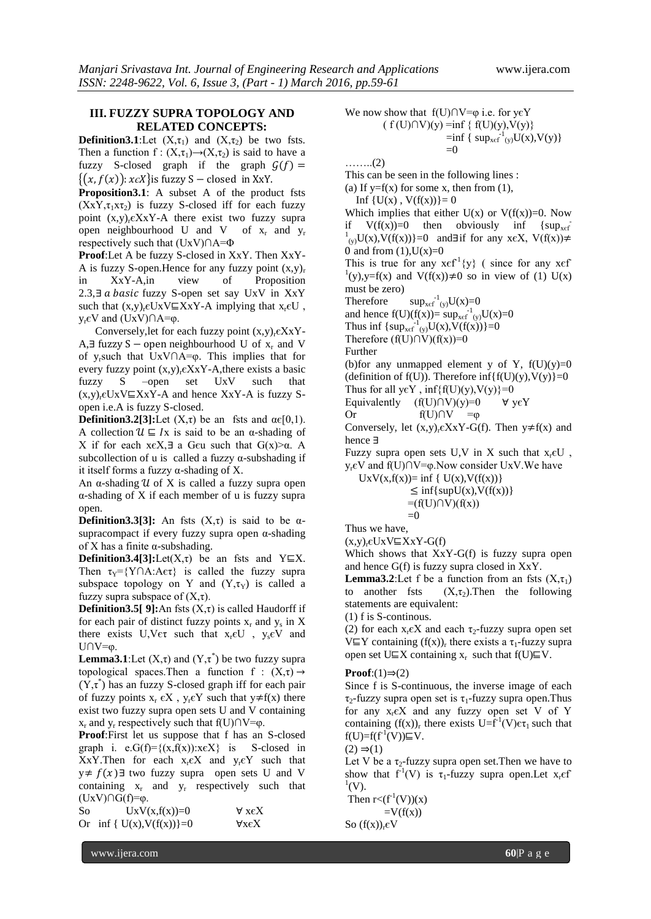# **III. FUZZY SUPRA TOPOLOGY AND RELATED CONCEPTS:**

**Definition3.1**:Let  $(X, \tau_1)$  and  $(X, \tau_2)$  be two fsts. Then a function f :  $(X, \tau_1) \rightarrow (X, \tau_2)$  is said to have a fuzzy S-closed graph if the graph  $G(f)$  =  $\{(x, f(x)) : x \in X\}$  is fuzzy S – closed in XxY.

**Proposition3.1**: A subset A of the product fsts  $(XXY, \tau_1XT_2)$  is fuzzy S-closed iff for each fuzzy point  $(x,y)$ <sub>r</sub> $\epsilon$ XxY-A there exist two fuzzy supra open neighbourhood U and V of  $x_r$  and  $y_r$ respectively such that (UxV)∩A=Φ

**Proof**:Let A be fuzzy S-closed in XxY. Then XxY-A is fuzzy S-open. Hence for any fuzzy point  $(x,y)$ <sub>r</sub> in XxY-A,in view of Proposition 2.3,∃  $a$  basic fuzzy S-open set say UxV in XxY such that  $(x,y)$ . $\epsilon UxV \subseteq XxY-A$  implying that  $x.\epsilon U$ .  $y_r ∈ V$  and  $(UxV) ∩ A = φ$ .

Conversely, let for each fuzzy point  $(x,y)$ <sub>r</sub> $\epsilon$ XxY-A,∃ fuzzy S – open neighbourhood U of  $x_r$  and V of yrsuch that UxV∩A=φ. This implies that for every fuzzy point  $(x,y)_r \in X \times Y$ -A, there exists a basic fuzzy S –open set UxV such that  $(x,y)_r \in UxV \subseteq XxY-A$  and hence  $XxY-A$  is fuzzy Sopen i.e.A is fuzzy S-closed.

**Definition3.2[3]:**Let  $(X,\tau)$  be an fsts and  $\alpha \in [0,1)$ . A collection  $\mathcal{U} \subseteq I$ x is said to be an α-shading of X if for each xєX,∃ a Gєu such that G(x)>α. A subcollection of u is called a fuzzy  $\alpha$ -subshading if it itself forms a fuzzy α-shading of X.

An  $\alpha$ -shading  $\mathcal U$  of X is called a fuzzy supra open α-shading of X if each member of u is fuzzy supra open.

**Definition3.3[3]:** An fsts  $(X,\tau)$  is said to be  $\alpha$ supracompact if every fuzzy supra open α-shading of X has a finite  $\alpha$ -subshading.

**Definition3.4[3]:**Let( $X, \tau$ ) be an fsts and Y $\subseteq$ X. Then  $\tau_{Y} = \{Y \cap A : A \in \tau\}$  is called the fuzzy supra subspace topology on Y and  $(Y, \tau_Y)$  is called a fuzzy supra subspace of  $(X,\tau)$ .

**Definition3.5[ 9]:**An fsts  $(X,\tau)$  is called Haudorff if for each pair of distinct fuzzy points  $x_r$  and  $y_s$  in X there exists  $U, V \in \tau$  such that  $x_r \in U$ ,  $y_s \in V$  and U∩V=φ.

**Lemma3.1**:Let  $(X,\tau)$  and  $(Y,\tau^*)$  be two fuzzy supra topological spaces.Then a function f :  $(X,\tau) \rightarrow$  $(Y, \tau^*)$  has an fuzzy S-closed graph iff for each pair of fuzzy points  $x_r \in X$ ,  $y_r \in Y$  such that  $y \neq f(x)$  there exist two fuzzy supra open sets U and V containing  $x_r$  and  $y_r$  respectively such that f(U)∩V= $\varphi$ .

**Proof**:First let us suppose that f has an S-closed graph i. e.G(f)={ $(x,f(x))$ : $x \in X$ } is S-closed in XxY.Then for each  $x_r \in X$  and  $y_r \in Y$  such that y≠  $f(x)$  ∃ two fuzzy supra open sets U and V containing  $x_r$  and  $y_r$  respectively such that  $(UxV)∩G(f)=φ.$ 

So  $UxV(x,f(x))=0$   $\forall x \in X$ Or inf {  $U(x)$ ,  $V(f(x))$ }=0  $VxeX$ 

We now show that f(U)∩V= $\varphi$  i.e. for y $\epsilon$ Y  $(f(U)\cap V)(y) = inf \{ f(U)(y), V(y) \}$  $=$ inf { sup<sub>xef</sub><sup>-1</sup><sub>(y)</sub>U(x),V(y)}

 $=0$ ……..(2)

This can be seen in the following lines :

(a) If  $y=f(x)$  for some x, then from (1),

Inf  ${U(x), V(f(x))}=0$ 

Which implies that either  $U(x)$  or  $V(f(x))=0$ . Now if  $V(f(x))=0$  then obviously inf {sup<sub>xef</sub>  $1_{(y)}U(x),V(f(x))$ }=0 and∃if for any x $\epsilon X, V(f(x))\neq$ 0 and from  $(1)$ ,  $U(x)=0$ 

This is true for any  $x \in f^{-1}{y}$  (since for any  $x \in f^{-1}{y}$ <sup>1</sup>(y),y=f(x) and V(f(x))≠0 so in view of (1) U(x) must be zero)

Therefore  $\int_{(y)}^{-1}U(x)=0$ 

and hence  $f(U)(f(x)) = \sup_{x \in f^{-1}(y)} U(x) = 0$ 

Thus inf  $\{ \sup_{x \in f^{-1}(y)} U(x), V(f(x)) \} = 0$ 

Therefore  $(f(U) \cap V)(f(x))=0$ 

Further

(b)for any unmapped element y of Y,  $f(U)(y)=0$ (definition of  $f(U)$ ). Therefore inf{ $f(U)(y)$ ,  $V(y)$ }=0 Thus for all  $\forall y \in Y$ ,  $\inf\{f(U)(y), V(y)\}=0$ 

Equivalently  $(f(U) \cap V)(y)=0 \quad \forall y \in Y$ 

Or f(U)∩V = $\varphi$ 

Conversely, let  $(x,y)_r \in X \times Y - G(f)$ . Then  $y \neq f(x)$  and hence ∃

Fuzzy supra open sets U,V in X such that  $x_r \in U$ , yrєV and f(U)∩V=φ.Now consider UxV.We have

 $UxV(x,f(x))= \inf \{ U(x), V(f(x)) \}$  $\leq \inf\{\sup U(x), V(f(x))\}$  $=(f(U)\cap V)(f(x))$  $=0$ 

Thus we have,

 $(x,y)_r \in UxV \sqsubseteq XxY - G(f)$ 

Which shows that XxY-G(f) is fuzzy supra open and hence G(f) is fuzzy supra closed in XxY.

**Lemma3.2**:Let f be a function from an fsts  $(X, \tau_1)$ to another fsts  $(X, \tau_2)$ . Then the following statements are equivalent:

(1) f is S-continous.

(2) for each  $x_r \in X$  and each  $\tau_2$ -fuzzy supra open set V⊑Y containing  $(f(x))_r$  there exists a  $\tau_1$ -fuzzy supra open set U⊑X containing  $x_r$  such that  $f(U) \subseteq V$ .

#### $Proof:(1) \Rightarrow (2)$

Since f is S-continuous, the inverse image of each  $\tau_2$ -fuzzy supra open set is  $\tau_1$ -fuzzy supra open. Thus for any  $x<sub>r</sub> \in X$  and any fuzzy open set V of Y containing  $(f(x))_r$  there exists  $U=f^{-1}(V)\epsilon\tau_1$  such that  $f(U)=f(f<sup>1</sup>(V))\sqsubseteq V.$ 

 $(2) \Rightarrow (1)$ 

Let V be a  $\tau_2$ -fuzzy supra open set. Then we have to show that  $f'(V)$  is  $\tau_1$ -fuzzy supra open. Let  $x_ref$  $\binom{1}{V}$ .

Then  $r < (f<sup>-1</sup>(V))(x)$  $=V(f(x))$ 

So  $(f(x))_r \in V$